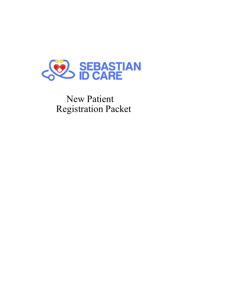

New Patient Registration Packet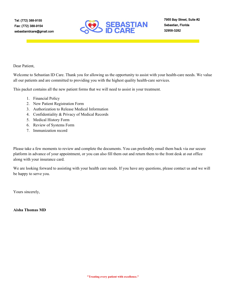

Dear Patient,

Welcome to Sebastian ID Care. Thank you for allowing us the opportunity to assist with your health-care needs. We value all our patients and are committed to providing you with the highest quality health-care services.

This packet contains all the new patient forms that we will need to assist in your treatment.

- 1. Financial Policy
- 2. New Patient Registration Form
- 3. Authorization to Release Medical Information
- 4. Confidentiality & Privacy of Medical Records
- 5. Medical History Form
- 6. Review of Systems Form
- 7. Immunization record

Please take a few moments to review and complete the documents. You can preferably email them back via our secure platform in advance of your appointment, or you can also fill them out and return them to the front desk at out office along with your insurance card.

We are looking forward to assisting with your health care needs. If you have any questions, please contact us and we will be happy to serve you.

Yours sincerely,

**Aisha Thomas MD**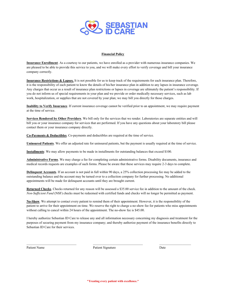

### **Financial Policy**

**Insurance Enrollment**. As a courtesy to our patients, we have enrolled as a provider with numerous insurance companies. We are pleased to be able to provide this service to you, and we will make every effort to verify coverage and bill your insurance company correctly.

**Insurance Restrictions & Lapses.** It is not possible for us to keep track of the requirements for each insurance plan. Therefore, it is the responsibility of each patient to know the details of his/her insurance plan in addition to any lapses in insurance coverage. Any charges that occur as a result of insurance plan restrictions or lapses in coverage are ultimately the patient's responsibility. If you do not inform us of special requirements in your plan and we provide or order medically necessary services, such as lab work, hospitalization, or supplies that are not covered by your plan; we may bill you directly for those charges.

**Inability to Verify Insurance**. If current insurance coverage cannot be verified prior to an appointment, we may require payment at the time of service.

**Services Rendered by Other Providers**. We bill only for the services that we render. Laboratories are separate entities and will bill you or your insurance company for services that are performed. If you have any questions about your laboratory bill please contact them or your insurance company directly.

**Co-Payments & Deductibles**. Co-payments and deductibles are required at the time of service.

**Uninsured Patients**. We offer an adjusted rate for uninsured patients, but the payment is usually required at the time of service.

**Installments**: We may allow payments to be made in installments for outstanding balances that exceed \$100.

**Administrative Forms**. We may charge a fee for completing certain administrative forms. Disability documents, insurance and medical records requests are examples of such forms. Please be aware that these services may require 2-3 days to complete.

**Delinquent Accounts**. If an account is not paid in full within 90 days, a 25% collection processing fee may be added to the outstanding balance and the account may be turned over to a collection company for further processing. No additional appointments will be made for delinquent accounts until they are brought current.

**Returned Checks**. Checks returned for any reason will be assessed a \$35.00 service fee in addition to the amount of the check. *Non-Sufficient Fund* (NSF) checks must be redeemed with certified funds and checks will no longer be permitted as payment.

**No-Show**. We attempt to contact every patient to remind them of their appointment. However, it is the responsibility of the patient to arrive for their appointment on time. We reserve the right to charge a no-show fee for patients who miss appointments without calling to cancel within 24 hours of the appointment. The no-show fee is \$45.00.

I hereby authorize Sebastian ID Care to release any and all information necessary concerning my diagnosis and treatment for the purposes of securing payment from my insurance company; and thereby authorize payment of the insurance benefits directly to Sebastian ID Care for their services.

Patient Name **Patient Signature** Date **Patient Signature** Date

 $\mathcal{L}_\text{max}$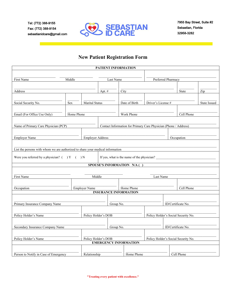

# **New Patient Registration Form**

|                                                                                |                     |                         | PATIENT INFORMATION             |                                     |                                            |                                                                  |              |                     |  |  |
|--------------------------------------------------------------------------------|---------------------|-------------------------|---------------------------------|-------------------------------------|--------------------------------------------|------------------------------------------------------------------|--------------|---------------------|--|--|
|                                                                                |                     |                         |                                 |                                     |                                            |                                                                  |              |                     |  |  |
| First Name<br>Middle                                                           |                     |                         | Last Name                       |                                     | Preferred Pharmacy                         |                                                                  |              |                     |  |  |
|                                                                                |                     |                         |                                 |                                     |                                            |                                                                  |              |                     |  |  |
| Address                                                                        |                     | Apt. #                  |                                 | City                                |                                            |                                                                  | <b>State</b> | Zip                 |  |  |
|                                                                                |                     |                         |                                 |                                     |                                            |                                                                  |              |                     |  |  |
| Social Security No.<br>Sex                                                     |                     |                         | Marital Status<br>Date of Birth |                                     | Driver's License #                         |                                                                  |              | <b>State Issued</b> |  |  |
|                                                                                |                     |                         |                                 |                                     |                                            |                                                                  |              |                     |  |  |
| Email (For Office Use Only)                                                    | Home Phone          |                         |                                 | Work Phone                          |                                            |                                                                  | Cell Phone   |                     |  |  |
|                                                                                |                     |                         |                                 |                                     |                                            |                                                                  |              |                     |  |  |
| Name of Primary Care Physician (PCP)                                           |                     |                         |                                 |                                     |                                            | Contact Information for Primary Care Physician (Phone / Address) |              |                     |  |  |
|                                                                                |                     |                         |                                 |                                     |                                            |                                                                  |              |                     |  |  |
| <b>Employer Name</b>                                                           |                     | <b>Employer Address</b> |                                 |                                     |                                            |                                                                  |              | Occupation          |  |  |
|                                                                                |                     |                         |                                 |                                     |                                            |                                                                  |              |                     |  |  |
| List the persons with whom we are authorized to share your medical information |                     |                         |                                 |                                     |                                            |                                                                  |              |                     |  |  |
|                                                                                |                     |                         |                                 |                                     |                                            |                                                                  |              |                     |  |  |
| Were you referred by a physician? $($ $)$ Y $($ $)$ N                          |                     |                         |                                 |                                     | If yes, what is the name of the physician? |                                                                  |              |                     |  |  |
|                                                                                |                     |                         | SPOUSE'S INFORMATION N/A (      |                                     |                                            |                                                                  |              |                     |  |  |
|                                                                                |                     |                         |                                 |                                     |                                            |                                                                  |              |                     |  |  |
| First Name                                                                     |                     |                         | Middle                          |                                     |                                            | Last Name                                                        |              |                     |  |  |
|                                                                                |                     |                         |                                 |                                     |                                            |                                                                  |              |                     |  |  |
| Occupation                                                                     |                     | <b>Employer Name</b>    | Home Phone                      |                                     |                                            |                                                                  | Cell Phone   |                     |  |  |
|                                                                                |                     |                         | <b>INSURANCE INFORMATION</b>    |                                     |                                            |                                                                  |              |                     |  |  |
|                                                                                |                     |                         |                                 |                                     |                                            |                                                                  |              |                     |  |  |
| Primary Insurance Company Name                                                 |                     |                         |                                 | Group No.                           |                                            |                                                                  |              | ID/Certificate No.  |  |  |
|                                                                                |                     |                         |                                 |                                     |                                            |                                                                  |              |                     |  |  |
| Policy Holder's Name                                                           | Policy Holder's DOB |                         |                                 | Policy Holder's Social Security No. |                                            |                                                                  |              |                     |  |  |
|                                                                                |                     |                         |                                 |                                     |                                            |                                                                  |              |                     |  |  |
| Secondary Insurance Company Name                                               |                     |                         | Group No.                       |                                     |                                            | ID/Certificate No.                                               |              |                     |  |  |
|                                                                                |                     |                         |                                 |                                     |                                            |                                                                  |              |                     |  |  |
| Policy Holder's DOB<br>Policy Holder's Name                                    |                     |                         |                                 |                                     | Policy Holder's Social Security No.        |                                                                  |              |                     |  |  |
|                                                                                |                     |                         | <b>EMERGENCY INFORMATION</b>    |                                     |                                            |                                                                  |              |                     |  |  |
|                                                                                |                     |                         |                                 |                                     |                                            |                                                                  |              |                     |  |  |
| Person to Notify in Case of Emergency                                          | Relationship        |                         | Home Phone                      |                                     | Cell Phone                                 |                                                                  |              |                     |  |  |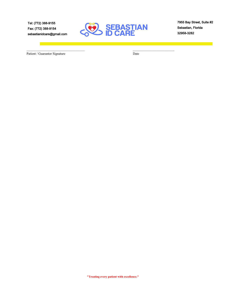**Tel: (772) 388-9155 Fax: (772) 388-9154 sebastianidcare@gmail.com**



\_\_\_\_\_\_\_\_\_\_\_\_\_\_\_\_\_\_\_\_\_\_\_\_\_\_\_\_\_\_\_\_\_\_\_ \_\_\_\_\_\_\_\_\_\_\_\_\_\_\_\_\_\_\_\_\_\_\_\_\_

**7955 Bay Street, Suite #2 Sebastian, Florida 32958-3282**

Patient / Guarantor Signature Date

П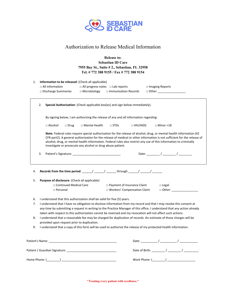

## Authorization to Release Medical Information

**Release to: Sebastian ID Care 7955 Bay St., Suite # 2., Sebastian, FL 32958 Tel. # 772 388 9155 / Fax # 772 388 9154**

|          |    | $\Box$ All information<br>$\square$ Discharge Summaries |                          | □ All progress notes □ Lab reports<br>$\Box$ Microbiology               | $\Box$ Immunization Records                                                                                                                       |            | $\Box$ Imaging Reports<br>□ Other ____________________                                                                                                                                                                                                                                                                                                                 |
|----------|----|---------------------------------------------------------|--------------------------|-------------------------------------------------------------------------|---------------------------------------------------------------------------------------------------------------------------------------------------|------------|------------------------------------------------------------------------------------------------------------------------------------------------------------------------------------------------------------------------------------------------------------------------------------------------------------------------------------------------------------------------|
|          | 2. |                                                         |                          |                                                                         | Special Authorization: (Check applicable box[es] and sign below immediately).                                                                     |            |                                                                                                                                                                                                                                                                                                                                                                        |
|          |    |                                                         |                          |                                                                         | By signing below, I am authorizing the release of any and all information regarding:                                                              |            |                                                                                                                                                                                                                                                                                                                                                                        |
|          |    | $\Box$ Alcohol                                          | $\Box$ Drug              | □ Mental Health                                                         | $\square$ STDs                                                                                                                                    | □ HIV/AIDS | $\Box$ Minor <18                                                                                                                                                                                                                                                                                                                                                       |
|          |    |                                                         |                          | investigate or prosecute any alcohol or drug abuse patient.             |                                                                                                                                                   |            | Note: Federal rules require special authorization for the release of alcohol, drug, or mental health information (42<br>CFR part2). A general authorization for the release of medical or other information is not sufficient for the release of<br>alcohol, drug, or mental health information. Federal rules also restrict any use of this information to criminally |
|          | 3. |                                                         |                          |                                                                         |                                                                                                                                                   |            |                                                                                                                                                                                                                                                                                                                                                                        |
|          |    |                                                         |                          |                                                                         |                                                                                                                                                   |            |                                                                                                                                                                                                                                                                                                                                                                        |
| 4.<br>5. |    | $\Box$ Personal                                         | □ Continued Medical Care | Purpose of disclosure: (Check all applicable)                           | Records from the time period: _____/ _____/ ______ through _____/ _____/ _______<br>□ Payment of Insurance Claim<br>□ Workers' Compensation Claim |            | $\Box$ Legal                                                                                                                                                                                                                                                                                                                                                           |
|          |    |                                                         |                          |                                                                         |                                                                                                                                                   |            |                                                                                                                                                                                                                                                                                                                                                                        |
| 6.<br>7. |    |                                                         |                          | I understand that this authorization shall be valid for five (5) years. |                                                                                                                                                   |            | I understand that I have no obligation to disclose information from my record and that I may revoke this consent at                                                                                                                                                                                                                                                    |
| 8.       |    |                                                         |                          |                                                                         |                                                                                                                                                   |            | taken with respect to this authorization cannot be reversed and my revocation will not affect such actions.<br>I understand that a reasonable fee may be charged for duplication of records. An estimate of those charges will be                                                                                                                                      |
| 9.       |    |                                                         |                          | provided upon request prior to duplication.                             |                                                                                                                                                   |            | any time by submitting a request in writing to the Practice Manager of this office. I understand that any action already<br>I understand that a copy of this form will be used to authorize the release of my protected health information.                                                                                                                            |

Home Phone: (\_\_\_\_\_\_\_\_) \_\_\_\_\_\_\_\_\_\_\_\_\_\_\_\_\_\_\_\_\_\_\_\_\_\_\_\_\_\_\_\_\_ Work Phone: (\_\_\_\_\_\_\_\_) \_\_\_\_\_\_\_\_\_\_\_\_\_\_\_\_\_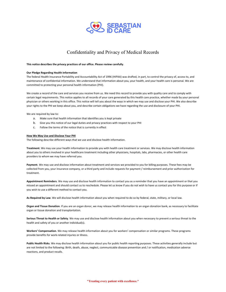

## Confidentiality and Privacy of Medical Records

**This notice describes the privacy practices of our office. Please review carefully**.

#### **Our Pledge Regarding Health Information**

The federal Health Insurance Portability and Accountability Act of 1996 (HIPAA) was drafted, in part, to control the privacy of, access to, and maintenance of confidential information. We understand that information about you, your health, and your health care is personal. We are committed to protecting your personal health information (PHI).

We create a record of the care and services you receive from us. We need this record to provide you with quality care and to comply with certain legal requirements. This notice applies to all records of your care generated by this health care practice, whether made by your personal physician or others working in this office. This notice will tell you about the ways in which we may use and disclose your PHI. We also describe your rights to the PHI we keep about you, and describe certain obligations we have regarding the use and disclosure of your PHI.

We are required by law to:

- a. Make sure that health information that identifies you is kept private
- b. Give you this notice of our legal duties and privacy practices with respect to your PHI
- c. Follow the terms of the notice that is currently in effect

#### **How We May Use and Disclose Your PHI**

The following describe different ways that we use and disclose health information.

**Treatment**. We may use your health information to provide you with health care treatment or services. We may disclose health information about you to others involved in your healthcare treatment including other physicians, hospitals, labs, pharmacies, or other health care providers to whom we may have referred you.

**Payment**. We may use and disclose information about treatment and services we provided to you for billing purposes. These fees may be collected from you, your insurance company, or a third party and include requests for payment / reimbursement and prior authorization for treatment.

**Appointment Reminders**. We may use and disclose health information to contact you as a reminder that you have an appointment or that you missed an appointment and should contact us to reschedule. Please let us know if you do not wish to have us contact you for this purpose or if you wish to use a different method to contact you.

**As Required by Law**. We will disclose health information about you when required to do so by federal, state, military, or local law.

**Organ and Tissue Donation**. If you are an organ donor, we may release health information to an organ donation bank, as necessary to facilitate organ or tissue donation and transplantation.

**Serious Threat to Health or Safety**. We may use and disclose health information about you when necessary to prevent a serious threat to the health and safety of you or another individual(s).

**Workers' Compensation**. We may release health information about you for workers' compensation or similar programs. These programs provide benefits for work-related injuries or illness.

**Public Health Risks**. We may disclose health information about you for public health reporting purposes. These activities generally include but are not limited to the following: Birth, death, abuse, neglect, communicable disease prevention and / or notification, medication adverse reactions, and product recalls.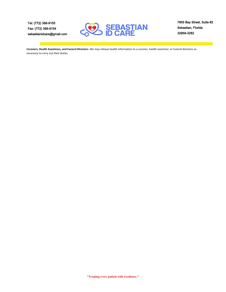**Tel: (772) 388-9155 Fax: (772) 388-9154 sebastianidcare@gmail.com**



**7955 Bay Street, Suite #2 Sebastian, Florida 32958-3282**

**Coroners, Health Examiners, and Funeral Directors**. We may release health information to a coroner, health examiner, or funeral directors as necessary to carry out their duties.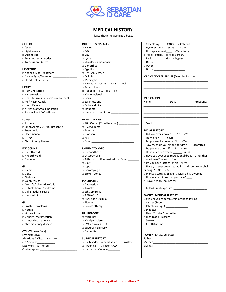

### **MEDICAL HISTORY**

Please check the applicable boxes

| <b>GENERAL</b>                               | <b>INFECTIOUS DISEASES</b>                            | $\Box$ Vasectomy $\Box$ CABG $\Box$ Cataract                    |
|----------------------------------------------|-------------------------------------------------------|-----------------------------------------------------------------|
| $\Box$ fever                                 | $\Box$ MRSA                                           | □ Hysterectomy □ Sinus □ TURP                                   |
| $\Box$ night sweats                          | $\Box$ C-Diff                                         | $\Box$ Hip replacement $\Box$ Vasectomy                         |
| $\Box$ weight loss                           | $\square$ VRE                                         | □ Tubal Ligation □ Knee surgery                                 |
| $\Box$ Enlarged lymph nodes                  | $\Box$ Lyme                                           | □ Back__________ □ Gastric bypass                               |
|                                              | □ Shingles / Chickenpox                               |                                                                 |
|                                              | □ Gonorrhea                                           | □ Other _________________________                               |
| <b>HEME/ONC</b>                              | $\square$ Syphilis                                    |                                                                 |
|                                              | $\Box$ HIV / AIDS when $\Box$                         |                                                                 |
| □ Cancer Type/Treatment                      | $\square$ Cellulitis                                  | <b>MEDICATION ALLERGIES (Describe Reaction)</b>                 |
| □ Blood Clots / DVT's                        | □ Meningitis                                          |                                                                 |
|                                              | □ Herpes □ Genital □ Anal □ Oral                      |                                                                 |
| <b>HEART</b>                                 | $\square$ Tuberculosis                                |                                                                 |
| □ High Cholesterol                           | $\Box$ Hepatitis $\Box A$ $\Box B$ $\Box C$           |                                                                 |
| □ Hypertension                               | $\Box$ Mononucleosis                                  |                                                                 |
| $\Box$ Heart Murmur $\Box$ Valve replacement | $\square$ Sinusitis                                   | <b>MEDICATIONS</b>                                              |
| □ MI / Heart Attack                          | $\square$ Ear infections                              | Dose<br>Frequency<br>Name                                       |
| □ Heart Failure                              | $\square$ Endocardidits                               |                                                                 |
| □ Arrythmia/Atrial Fibrillation              | $\square$ Influenza                                   |                                                                 |
| □ Pacemaker / Defibrillator                  | $\Box$ Last use of antibiotics $\Box$                 |                                                                 |
| <b>LUNGS</b>                                 | <b>DERMATOLOGIC</b>                                   |                                                                 |
| □ Asthma                                     | □ Skin Cancer (Type/Location)                         | $\square$ See list                                              |
| □ Emphysema / COPD / Bronchitis              | □ Hives/Edema                                         |                                                                 |
| □ Pneumonia                                  | $\square$ Eczema                                      | <b>SOCIAL HISTORY</b>                                           |
| $\square$ Sleep Apnea                        | $\Box$ Psoriasis                                      | $\Box$ Did you ever smoke? $\Box$ No $\Box$ Yes                 |
| $\Box$ +PPD                                  | $\Box$ Rash                                           | How long? Years                                                 |
| □ Chronic lung disease                       | $\Box$ Other $\Box$                                   | $\square$ Do you smoke now? $\square$ No $\square$ Yes          |
|                                              |                                                       | How much do you smoke per day? Cigarettes                       |
| <b>ENDOCRINE</b>                             | <b>RHEUMATOLOGIC</b>                                  | $\square$ Do you use alcohol? $\square$ No $\square$ Yes        |
| □ Hypothyroid                                | $\Box$ Osteoarthritis                                 | How much per week? _______ Drinks                               |
| □ Hyperthyroid                               | $\Box$ Osteoporosis                                   | $\Box$ Have you ever used recreational drugs - other than       |
| $\square$ Diabetes                           | □ Arthritis □ Rheumatoid □ Other ______               | marijuana? $\Box$ No $\Box$ Yes                                 |
|                                              | $\Box$ Gout                                           | $\Box$ Do you have tattoos? $\Box$ No $\Box$ Yes                |
| GI                                           | $\Box$ Lupus                                          | □ Have you ever been treated for addiction to alcohol           |
| $\Box$ Ulcers                                | $\Box$ Fibromyalgia                                   | or drugs? $\square$ No $\square$ Yes                            |
| $\Box$ GERD                                  | $\Box$ Broken bones                                   | □ Marital Status: □ Single □ Married □ Divorced                 |
|                                              |                                                       |                                                                 |
| $\Box$ Cirrhosis                             |                                                       | $\Box$ How many children do you have? $\Box$                    |
| $\Box$ Colon Polyps                          | <b>PSYCHIATRIC</b>                                    | In Travel history (countries) [1994] Travel history (countries) |
| □ Crohn's / Ulcerative Colitis               | $\square$ Depression                                  |                                                                 |
| □ Irritable Bowel Syndrome                   | $\Box$ Anxiety                                        | □ Pets/Animal exposures                                         |
| □ Gall Bladder disease                       | $\Box$ Schizophrenia                                  |                                                                 |
| $\Box$ Hemorrhoids                           | $\Box$ ADD/ADHD                                       | <b>FAMILY - MEDICAL HISTORY</b>                                 |
|                                              | $\Box$ Anorexia / Bulimia                             | Do you have a family history of the following?                  |
| GU                                           | $\Box$ Bipolar                                        | □ Cancer (Type)                                                 |
| □ Prostate Problems                          | $\Box$ Suicide attempt                                | □ Infection (Type)                                              |
| $\Box$ Hernia                                |                                                       | $\square$ Diabetes                                              |
| □ Kidney Stones                              | <b>NEUROLOGIC</b>                                     | □ Heart Trouble/Hear Attack                                     |
| □ Urinary Tract Infection                    | $\Box$ Migraines                                      | □ High Blood Pressure                                           |
| □ Urinary Incontinence                       | □ Multiple Sclerosis                                  | □ Stroke                                                        |
| □ Chronic kidney disease                     | □ CVA / Strokes / TIA                                 | □ COPD/Asthma                                                   |
|                                              | $\Box$ Seizures / Epilepsy                            |                                                                 |
| <b>GYN</b> (Women Only)                      | $\square$ Dementia                                    |                                                                 |
| Live births (No.)                            |                                                       | <b>FAMILY - CAUSE OF DEATH</b>                                  |
| Abortions / Miscarriages (No.) _______       | <b>SURGICAL HISTORY</b>                               |                                                                 |
|                                              | $\Box$ Gallbladder $\Box$ heart valve $\Box$ Prostate |                                                                 |
| $\Box$ C-Sections                            |                                                       |                                                                 |
|                                              | $\Box$ Appendix<br>□ Pacer/AICD                       |                                                                 |
|                                              | □ Hernia □ Vascular_______                            |                                                                 |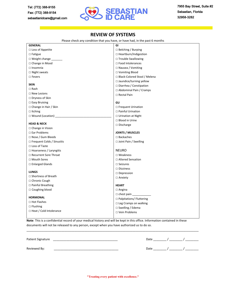

### **REVIEW OF SYSTEMS**

Please check any condition that you have, or have had, in the past 6 months

| <b>GENERAL</b>                    | GI                             |
|-----------------------------------|--------------------------------|
| $\Box$ Loss of Appetite           | $\Box$ Belching / Burping      |
| $\square$ Fatigue                 | $\Box$ Heartburn/Indigestion   |
| $\Box$ Weight change              | $\Box$ Trouble Swallowing      |
| $\Box$ Change in Mood             | $\Box$ Food Intolerances       |
| $\Box$ Insomnia                   | □ Nausea / Vomiting            |
| $\square$ Night sweats            | □ Vomiting Blood               |
| $\Box$ Fevers                     | □ Black-Colored Stool / Melena |
|                                   | □ Jaundice/turning yellow      |
| <b>SKIN</b>                       | □ Diarrhea / Constipation      |
| $\Box$ Rash                       | $\Box$ Abdominal Pain / Cramps |
| $\Box$ New Lesions                | □ Rectal Pain                  |
| $\Box$ Dryness of Skin            |                                |
| $\Box$ Easy Bruising              | GU                             |
| □ Change in Hair / Skin           | $\Box$ Frequent Urination      |
| $\Box$ Itching                    | □ Painful Urination            |
|                                   | $\Box$ Urination at Night      |
| <b>HEAD &amp; NECK</b>            | $\Box$ Blood in Urine          |
| $\Box$ Change in Vision           | $\Box$ Discharge               |
| $\square$ Ear Problems            | <b>JOINTS / MUSCLES</b>        |
| $\Box$ Nose / Gum Bleeds          | $\square$ Backaches            |
| $\Box$ Frequent Colds / Sinusitis | $\Box$ Joint Pain / Swelling   |
| $\Box$ Loss of Taste              |                                |
| $\Box$ Hoarseness / Laryngitis    | <b>NEURO</b>                   |
| □ Recurrent Sore Throat           | $\Box$ Weakness                |
| □ Mouth Sores                     | □ Altered Sensation            |
| $\Box$ Enlarged Glands            | $\Box$ Seizures                |
|                                   | $\Box$ Dizziness               |
| <b>LUNGS</b>                      | $\Box$ Depression              |
| □ Shortness of Breath             | $\Box$ Anxiety                 |
| $\Box$ Chronic Cough              |                                |
| $\Box$ Painful Breathing          | <b>HEART</b>                   |
| □ Coughing blood                  | $\Box$ Angina                  |
| <b>HORMONAL</b>                   | $\Box$ chest pain              |
| □ Hot Flashes                     | □ Palpitations/ Fluttering     |
| $\Box$ Flushing                   | $\Box$ Leg Cramps on walking   |
| $\Box$ Heat / Cold Intolerance    | □ Swelling / Edema             |
|                                   | □ Vein Problems                |
|                                   |                                |

**Note**: This is a confidential record of your medical history and will be kept in this office. Information contained in these documents will not be released to any person, except when you have authorized us to do so.

| Patient Signature | าวา  |  |
|-------------------|------|--|
| Reviewed By:      | าลt⊧ |  |

\_\_\_\_\_\_\_\_\_\_\_\_\_\_\_\_\_\_\_\_\_\_\_\_\_\_\_\_\_\_\_\_\_\_\_\_\_\_\_\_\_\_\_\_\_\_\_\_\_\_\_\_\_\_\_\_\_\_\_\_\_\_\_\_\_\_\_\_\_\_\_\_\_\_\_\_\_\_\_\_\_\_\_\_\_\_\_\_\_\_\_\_\_\_\_\_\_\_\_\_\_\_\_\_